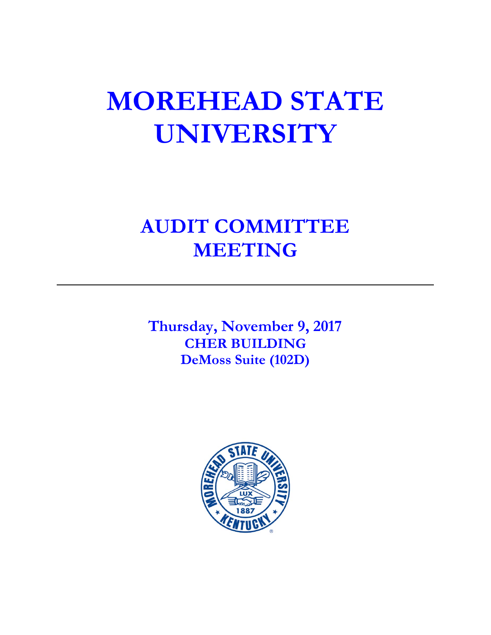# **MOREHEAD STATE UNIVERSITY**

# **AUDIT COMMITTEE MEETING**

**Thursday, November 9, 2017 CHER BUILDING DeMoss Suite (102D)**

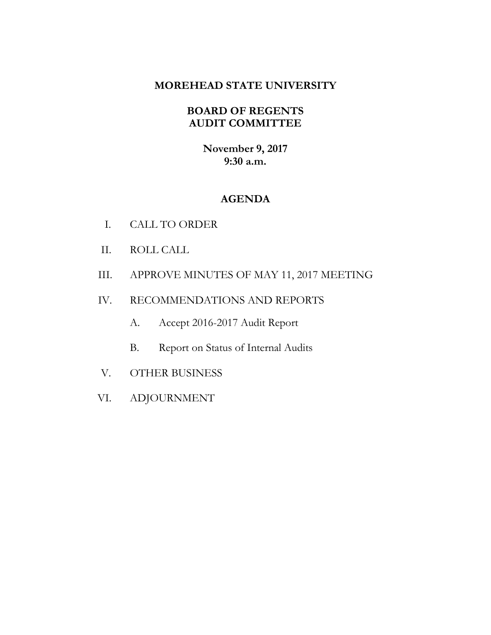# **MOREHEAD STATE UNIVERSITY**

# **BOARD OF REGENTS AUDIT COMMITTEE**

**November 9, 2017 9:30 a.m.**

# **AGENDA**

- I. CALL TO ORDER
- II. ROLL CALL
- III. APPROVE MINUTES OF MAY 11, 2017 MEETING
- IV. RECOMMENDATIONS AND REPORTS
	- A. Accept 2016-2017 Audit Report
	- B. Report on Status of Internal Audits
- V. OTHER BUSINESS
- VI. ADJOURNMENT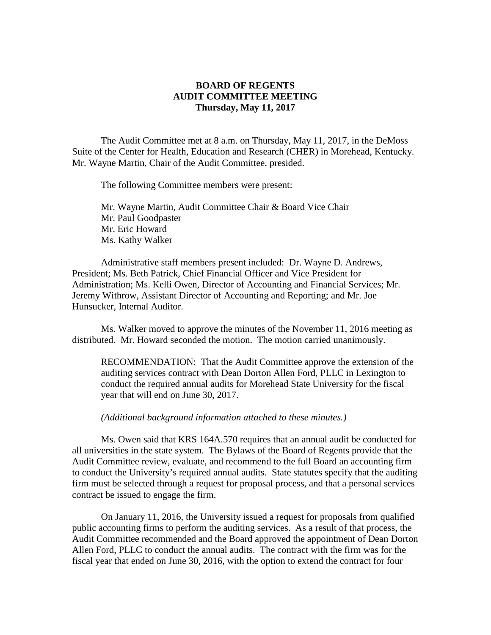### **BOARD OF REGENTS AUDIT COMMITTEE MEETING Thursday, May 11, 2017**

The Audit Committee met at 8 a.m. on Thursday, May 11, 2017, in the DeMoss Suite of the Center for Health, Education and Research (CHER) in Morehead, Kentucky. Mr. Wayne Martin, Chair of the Audit Committee, presided.

The following Committee members were present:

Mr. Wayne Martin, Audit Committee Chair & Board Vice Chair Mr. Paul Goodpaster Mr. Eric Howard Ms. Kathy Walker

Administrative staff members present included: Dr. Wayne D. Andrews, President; Ms. Beth Patrick, Chief Financial Officer and Vice President for Administration; Ms. Kelli Owen, Director of Accounting and Financial Services; Mr. Jeremy Withrow, Assistant Director of Accounting and Reporting; and Mr. Joe Hunsucker, Internal Auditor.

Ms. Walker moved to approve the minutes of the November 11, 2016 meeting as distributed. Mr. Howard seconded the motion. The motion carried unanimously.

RECOMMENDATION: That the Audit Committee approve the extension of the auditing services contract with Dean Dorton Allen Ford, PLLC in Lexington to conduct the required annual audits for Morehead State University for the fiscal year that will end on June 30, 2017.

*(Additional background information attached to these minutes.)*

Ms. Owen said that KRS 164A.570 requires that an annual audit be conducted for all universities in the state system. The Bylaws of the Board of Regents provide that the Audit Committee review, evaluate, and recommend to the full Board an accounting firm to conduct the University's required annual audits. State statutes specify that the auditing firm must be selected through a request for proposal process, and that a personal services contract be issued to engage the firm.

On January 11, 2016, the University issued a request for proposals from qualified public accounting firms to perform the auditing services. As a result of that process, the Audit Committee recommended and the Board approved the appointment of Dean Dorton Allen Ford, PLLC to conduct the annual audits. The contract with the firm was for the fiscal year that ended on June 30, 2016, with the option to extend the contract for four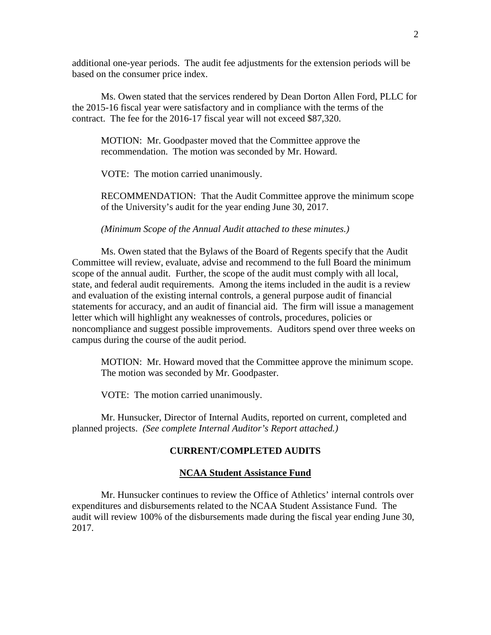additional one-year periods. The audit fee adjustments for the extension periods will be based on the consumer price index.

Ms. Owen stated that the services rendered by Dean Dorton Allen Ford, PLLC for the 2015-16 fiscal year were satisfactory and in compliance with the terms of the contract. The fee for the 2016-17 fiscal year will not exceed \$87,320.

MOTION: Mr. Goodpaster moved that the Committee approve the recommendation. The motion was seconded by Mr. Howard.

VOTE: The motion carried unanimously.

RECOMMENDATION: That the Audit Committee approve the minimum scope of the University's audit for the year ending June 30, 2017.

*(Minimum Scope of the Annual Audit attached to these minutes.)*

Ms. Owen stated that the Bylaws of the Board of Regents specify that the Audit Committee will review, evaluate, advise and recommend to the full Board the minimum scope of the annual audit. Further, the scope of the audit must comply with all local, state, and federal audit requirements. Among the items included in the audit is a review and evaluation of the existing internal controls, a general purpose audit of financial statements for accuracy, and an audit of financial aid. The firm will issue a management letter which will highlight any weaknesses of controls, procedures, policies or noncompliance and suggest possible improvements. Auditors spend over three weeks on campus during the course of the audit period.

MOTION: Mr. Howard moved that the Committee approve the minimum scope. The motion was seconded by Mr. Goodpaster.

VOTE: The motion carried unanimously.

Mr. Hunsucker, Director of Internal Audits, reported on current, completed and planned projects. *(See complete Internal Auditor's Report attached.)*

#### **CURRENT/COMPLETED AUDITS**

#### **NCAA Student Assistance Fund**

Mr. Hunsucker continues to review the Office of Athletics' internal controls over expenditures and disbursements related to the NCAA Student Assistance Fund. The audit will review 100% of the disbursements made during the fiscal year ending June 30, 2017.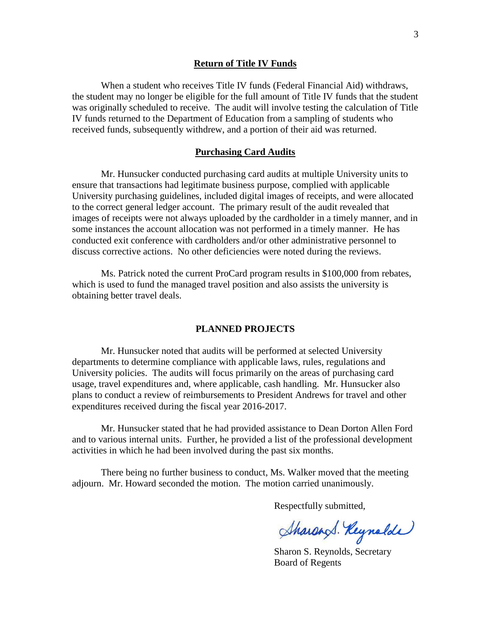#### **Return of Title IV Funds**

When a student who receives Title IV funds (Federal Financial Aid) withdraws, the student may no longer be eligible for the full amount of Title IV funds that the student was originally scheduled to receive. The audit will involve testing the calculation of Title IV funds returned to the Department of Education from a sampling of students who received funds, subsequently withdrew, and a portion of their aid was returned.

#### **Purchasing Card Audits**

Mr. Hunsucker conducted purchasing card audits at multiple University units to ensure that transactions had legitimate business purpose, complied with applicable University purchasing guidelines, included digital images of receipts, and were allocated to the correct general ledger account. The primary result of the audit revealed that images of receipts were not always uploaded by the cardholder in a timely manner, and in some instances the account allocation was not performed in a timely manner. He has conducted exit conference with cardholders and/or other administrative personnel to discuss corrective actions. No other deficiencies were noted during the reviews.

Ms. Patrick noted the current ProCard program results in \$100,000 from rebates, which is used to fund the managed travel position and also assists the university is obtaining better travel deals.

#### **PLANNED PROJECTS**

Mr. Hunsucker noted that audits will be performed at selected University departments to determine compliance with applicable laws, rules, regulations and University policies. The audits will focus primarily on the areas of purchasing card usage, travel expenditures and, where applicable, cash handling. Mr. Hunsucker also plans to conduct a review of reimbursements to President Andrews for travel and other expenditures received during the fiscal year 2016-2017.

Mr. Hunsucker stated that he had provided assistance to Dean Dorton Allen Ford and to various internal units. Further, he provided a list of the professional development activities in which he had been involved during the past six months.

There being no further business to conduct, Ms. Walker moved that the meeting adjourn. Mr. Howard seconded the motion. The motion carried unanimously.

Respectfully submitted,

Sharand. Reynolde

Sharon S. Reynolds, Secretary Board of Regents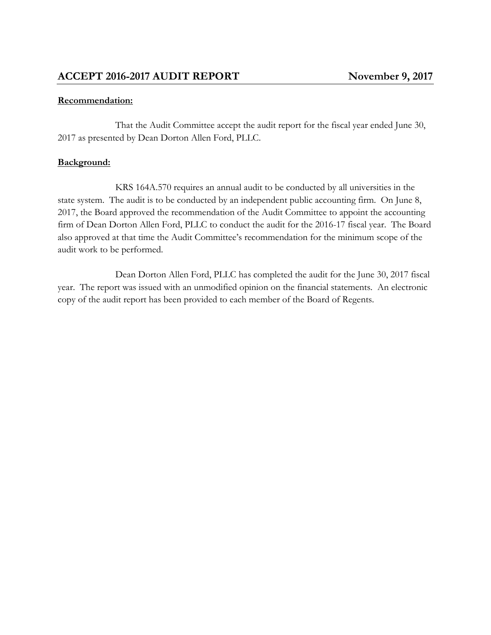# **Recommendation:**

That the Audit Committee accept the audit report for the fiscal year ended June 30, 2017 as presented by Dean Dorton Allen Ford, PLLC.

# **Background:**

KRS 164A.570 requires an annual audit to be conducted by all universities in the state system. The audit is to be conducted by an independent public accounting firm. On June 8, 2017, the Board approved the recommendation of the Audit Committee to appoint the accounting firm of Dean Dorton Allen Ford, PLLC to conduct the audit for the 2016-17 fiscal year. The Board also approved at that time the Audit Committee's recommendation for the minimum scope of the audit work to be performed.

Dean Dorton Allen Ford, PLLC has completed the audit for the June 30, 2017 fiscal year. The report was issued with an unmodified opinion on the financial statements. An electronic copy of the audit report has been provided to each member of the Board of Regents.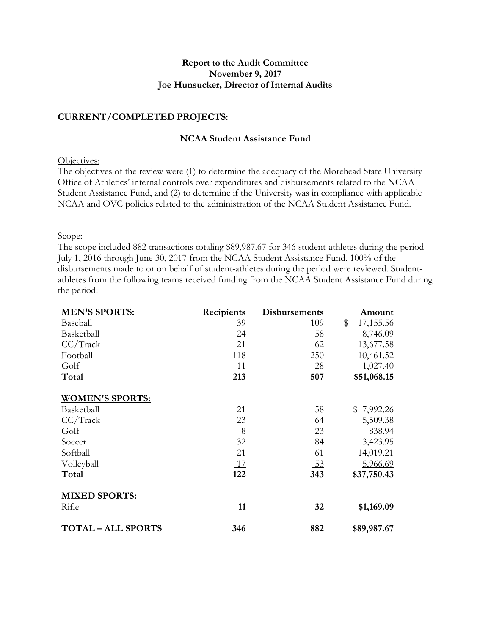#### **Report to the Audit Committee November 9, 2017 Joe Hunsucker, Director of Internal Audits**

#### **CURRENT/COMPLETED PROJECTS:**

#### **NCAA Student Assistance Fund**

#### Objectives:

The objectives of the review were (1) to determine the adequacy of the Morehead State University Office of Athletics' internal controls over expenditures and disbursements related to the NCAA Student Assistance Fund, and (2) to determine if the University was in compliance with applicable NCAA and OVC policies related to the administration of the NCAA Student Assistance Fund.

#### Scope:

The scope included 882 transactions totaling \$89,987.67 for 346 student-athletes during the period July 1, 2016 through June 30, 2017 from the NCAA Student Assistance Fund. 100% of the disbursements made to or on behalf of student-athletes during the period were reviewed. Studentathletes from the following teams received funding from the NCAA Student Assistance Fund during the period:

| <b>MEN'S SPORTS:</b>    | <b>Recipients</b> | <b>Disbursements</b> | <u>Amount</u>   |
|-------------------------|-------------------|----------------------|-----------------|
| Baseball                | 39                | 109                  | \$<br>17,155.56 |
| Basketball              | 24                | 58                   | 8,746.09        |
| CC/Track                | 21                | 62                   | 13,677.58       |
| Football                | 118               | 250                  | 10,461.52       |
| Golf                    | <u> 11</u>        | $\overline{28}$      | 1,027.40        |
| Total                   | 213               | 507                  | \$51,068.15     |
| <b>WOMEN'S SPORTS:</b>  |                   |                      |                 |
| Basketball              | 21                | 58                   | \$7,992.26      |
| CC/Track                | 23                | 64                   | 5,509.38        |
| Golf                    | 8                 | 23                   | 838.94          |
| Soccer                  | 32                | 84                   | 3,423.95        |
| Softball                | 21                | 61                   | 14,019.21       |
| Volleyball              | <u>17</u>         | <u>53</u>            | 5,966.69        |
| Total                   | 122               | 343                  | \$37,750.43     |
| <b>MIXED SPORTS:</b>    |                   |                      |                 |
| Rifle                   | 11                | 32                   | \$1,169.09      |
| <b>TOTAL-ALL SPORTS</b> | 346               | 882                  | \$89,987.67     |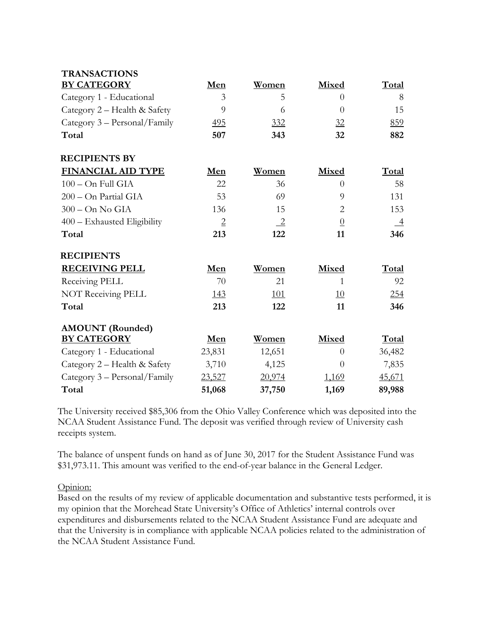| <b>TRANSACTIONS</b>           |                |                 |                |                 |
|-------------------------------|----------------|-----------------|----------------|-----------------|
| <b>BY CATEGORY</b>            | Men            | Women           | Mixed          | Total           |
| Category 1 - Educational      | 3              | 5               | $\Omega$       | 8               |
| Category 2 - Health & Safety  | 9              | 6               | $\overline{0}$ | 15              |
| Category 3 – Personal/Family  | 495            | 332             | 32             | 859             |
| Total                         | 507            | 343             | 32             | 882             |
| <b>RECIPIENTS BY</b>          |                |                 |                |                 |
| <b>FINANCIAL AID TYPE</b>     | Men            | Women           | Mixed          | Total           |
| $100 - On Full GIA$           | 22             | 36              | $\theta$       | 58              |
| 200 - On Partial GIA          | 53             | 69              | 9              | 131             |
| $300 - On No GIA$             | 136            | 15              | $\overline{2}$ | 153             |
| $400$ – Exhausted Eligibility | $\overline{2}$ | $\overline{-2}$ | $\overline{0}$ | $\overline{-4}$ |
| Total                         | 213            | 122             | 11             | 346             |
| <b>RECIPIENTS</b>             |                |                 |                |                 |
| <b>RECEIVING PELL</b>         | Men            | Women           | Mixed          | Total           |
| Receiving PELL                | 70             | 21              | 1              | 92              |
| NOT Receiving PELL            | 143            | <u>101</u>      | <u>10</u>      | 254             |
| Total                         | 213            | 122             | 11             | 346             |
| <b>AMOUNT</b> (Rounded)       |                |                 |                |                 |
| <b>BY CATEGORY</b>            | Men            | Women           | Mixed          | Total           |
| Category 1 - Educational      | 23,831         | 12,651          | $\Omega$       | 36,482          |
| Category 2 - Health & Safety  | 3,710          | 4,125           | $\theta$       | 7,835           |
| Category 3 – Personal/Family  | 23,527         | 20,974          | <u>1,169</u>   | 45,671          |
| Total                         | 51,068         | 37,750          | 1,169          | 89,988          |

The University received \$85,306 from the Ohio Valley Conference which was deposited into the NCAA Student Assistance Fund. The deposit was verified through review of University cash receipts system.

The balance of unspent funds on hand as of June 30, 2017 for the Student Assistance Fund was \$31,973.11. This amount was verified to the end-of-year balance in the General Ledger.

Opinion:

Based on the results of my review of applicable documentation and substantive tests performed, it is my opinion that the Morehead State University's Office of Athletics' internal controls over expenditures and disbursements related to the NCAA Student Assistance Fund are adequate and that the University is in compliance with applicable NCAA policies related to the administration of the NCAA Student Assistance Fund.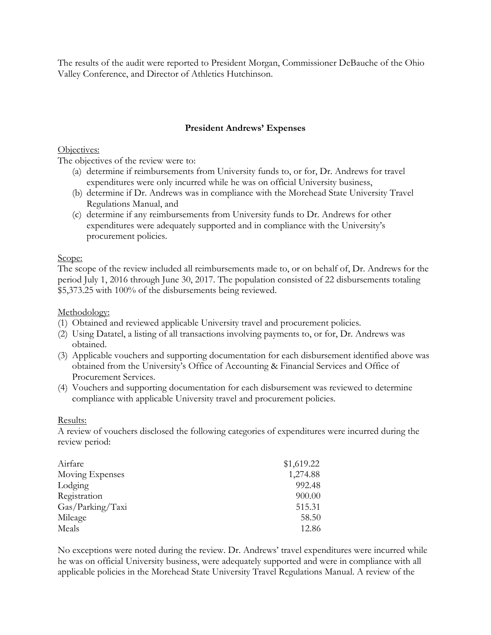The results of the audit were reported to President Morgan, Commissioner DeBauche of the Ohio Valley Conference, and Director of Athletics Hutchinson.

# **President Andrews' Expenses**

Objectives:

The objectives of the review were to:

- (a) determine if reimbursements from University funds to, or for, Dr. Andrews for travel expenditures were only incurred while he was on official University business,
- (b) determine if Dr. Andrews was in compliance with the Morehead State University Travel Regulations Manual, and
- (c) determine if any reimbursements from University funds to Dr. Andrews for other expenditures were adequately supported and in compliance with the University's procurement policies.

#### Scope:

The scope of the review included all reimbursements made to, or on behalf of, Dr. Andrews for the period July 1, 2016 through June 30, 2017. The population consisted of 22 disbursements totaling \$5,373.25 with 100% of the disbursements being reviewed.

Methodology:

- (1) Obtained and reviewed applicable University travel and procurement policies.
- (2) Using Datatel, a listing of all transactions involving payments to, or for, Dr. Andrews was obtained.
- (3) Applicable vouchers and supporting documentation for each disbursement identified above was obtained from the University's Office of Accounting & Financial Services and Office of Procurement Services.
- (4) Vouchers and supporting documentation for each disbursement was reviewed to determine compliance with applicable University travel and procurement policies.

# Results:

A review of vouchers disclosed the following categories of expenditures were incurred during the review period:

| Airfare          | \$1,619.22 |
|------------------|------------|
| Moving Expenses  | 1,274.88   |
| Lodging          | 992.48     |
| Registration     | 900.00     |
| Gas/Parking/Taxi | 515.31     |
| Mileage          | 58.50      |
| Meals            | 12.86      |

No exceptions were noted during the review. Dr. Andrews' travel expenditures were incurred while he was on official University business, were adequately supported and were in compliance with all applicable policies in the Morehead State University Travel Regulations Manual. A review of the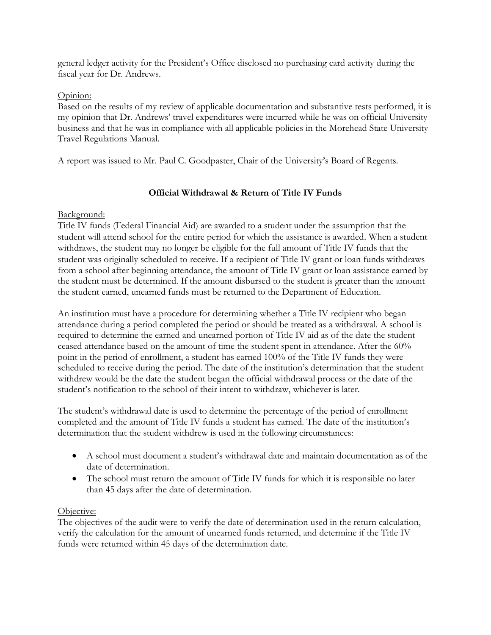general ledger activity for the President's Office disclosed no purchasing card activity during the fiscal year for Dr. Andrews.

### Opinion:

Based on the results of my review of applicable documentation and substantive tests performed, it is my opinion that Dr. Andrews' travel expenditures were incurred while he was on official University business and that he was in compliance with all applicable policies in the Morehead State University Travel Regulations Manual.

A report was issued to Mr. Paul C. Goodpaster, Chair of the University's Board of Regents.

# **Official Withdrawal & Return of Title IV Funds**

# Background:

Title IV funds (Federal Financial Aid) are awarded to a student under the assumption that the student will attend school for the entire period for which the assistance is awarded. When a student withdraws, the student may no longer be eligible for the full amount of Title IV funds that the student was originally scheduled to receive. If a recipient of Title IV grant or loan funds withdraws from a school after beginning attendance, the amount of Title IV grant or loan assistance earned by the student must be determined. If the amount disbursed to the student is greater than the amount the student earned, unearned funds must be returned to the Department of Education.

An institution must have a procedure for determining whether a Title IV recipient who began attendance during a period completed the period or should be treated as a withdrawal. A school is required to determine the earned and unearned portion of Title IV aid as of the date the student ceased attendance based on the amount of time the student spent in attendance. After the 60% point in the period of enrollment, a student has earned 100% of the Title IV funds they were scheduled to receive during the period. The date of the institution's determination that the student withdrew would be the date the student began the official withdrawal process or the date of the student's notification to the school of their intent to withdraw, whichever is later.

The student's withdrawal date is used to determine the percentage of the period of enrollment completed and the amount of Title IV funds a student has earned. The date of the institution's determination that the student withdrew is used in the following circumstances:

- A school must document a student's withdrawal date and maintain documentation as of the date of determination.
- The school must return the amount of Title IV funds for which it is responsible no later than 45 days after the date of determination.

# Objective:

The objectives of the audit were to verify the date of determination used in the return calculation, verify the calculation for the amount of unearned funds returned, and determine if the Title IV funds were returned within 45 days of the determination date.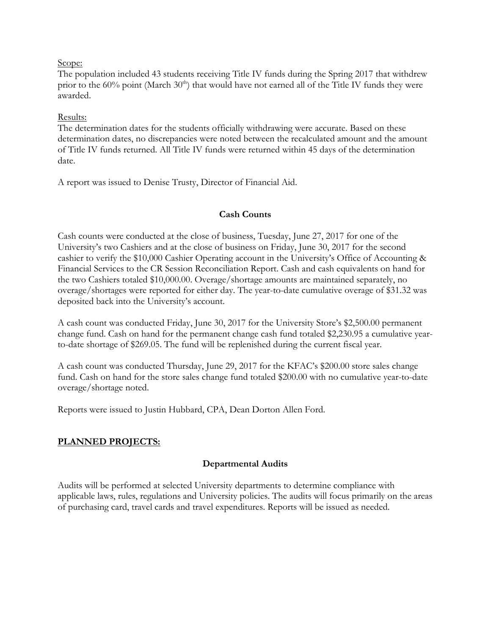#### Scope:

The population included 43 students receiving Title IV funds during the Spring 2017 that withdrew prior to the  $60\%$  point (March  $30<sup>th</sup>$ ) that would have not earned all of the Title IV funds they were awarded.

#### Results:

The determination dates for the students officially withdrawing were accurate. Based on these determination dates, no discrepancies were noted between the recalculated amount and the amount of Title IV funds returned. All Title IV funds were returned within 45 days of the determination date.

A report was issued to Denise Trusty, Director of Financial Aid.

#### **Cash Counts**

Cash counts were conducted at the close of business, Tuesday, June 27, 2017 for one of the University's two Cashiers and at the close of business on Friday, June 30, 2017 for the second cashier to verify the \$10,000 Cashier Operating account in the University's Office of Accounting & Financial Services to the CR Session Reconciliation Report. Cash and cash equivalents on hand for the two Cashiers totaled \$10,000.00. Overage/shortage amounts are maintained separately, no overage/shortages were reported for either day. The year-to-date cumulative overage of \$31.32 was deposited back into the University's account.

A cash count was conducted Friday, June 30, 2017 for the University Store's \$2,500.00 permanent change fund. Cash on hand for the permanent change cash fund totaled \$2,230.95 a cumulative yearto-date shortage of \$269.05. The fund will be replenished during the current fiscal year.

A cash count was conducted Thursday, June 29, 2017 for the KFAC's \$200.00 store sales change fund. Cash on hand for the store sales change fund totaled \$200.00 with no cumulative year-to-date overage/shortage noted.

Reports were issued to Justin Hubbard, CPA, Dean Dorton Allen Ford.

#### **PLANNED PROJECTS:**

#### **Departmental Audits**

Audits will be performed at selected University departments to determine compliance with applicable laws, rules, regulations and University policies. The audits will focus primarily on the areas of purchasing card, travel cards and travel expenditures. Reports will be issued as needed.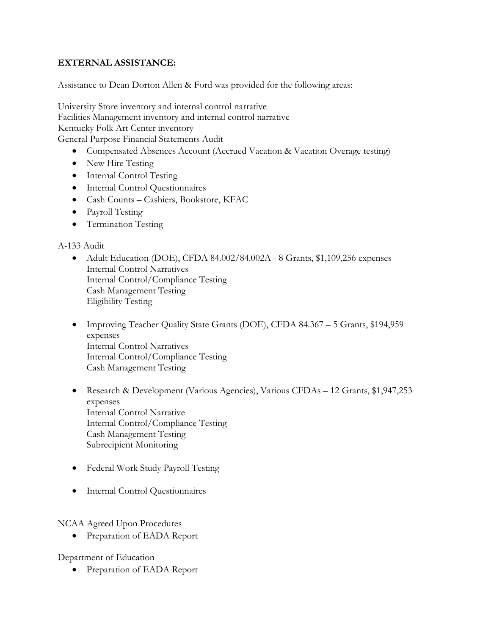# **EXTERNAL ASSISTANCE:**

Assistance to Dean Dorton Allen & Ford was provided for the following areas:

University Store inventory and internal control narrative Facilities Management inventory and internal control narrative Kentucky Folk Art Center inventory General Purpose Financial Statements Audit

- Compensated Absences Account (Accrued Vacation & Vacation Overage testing)
- New Hire Testing
- Internal Control Testing
- Internal Control Questionnaires
- Cash Counts Cashiers, Bookstore, KFAC
- Payroll Testing
- Termination Testing

#### A-133 Audit

- Adult Education (DOE), CFDA 84.002/84.002A 8 Grants, \$1,109,256 expenses Internal Control Narratives Internal Control/Compliance Testing Cash Management Testing Eligibility Testing
- Improving Teacher Quality State Grants (DOE), CFDA 84.367 5 Grants, \$194,959 expenses Internal Control Narratives Internal Control/Compliance Testing Cash Management Testing
- Research & Development (Various Agencies), Various CFDAs 12 Grants, \$1,947,253 expenses Internal Control Narrative Internal Control/Compliance Testing Cash Management Testing Subrecipient Monitoring
- Federal Work Study Payroll Testing
- Internal Control Questionnaires

#### NCAA Agreed Upon Procedures

• Preparation of EADA Report

Department of Education

• Preparation of EADA Report